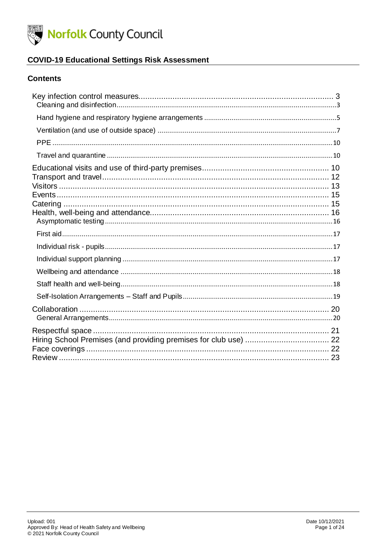

### **COVID-19 Educational Settings Risk Assessment**

#### **Contents**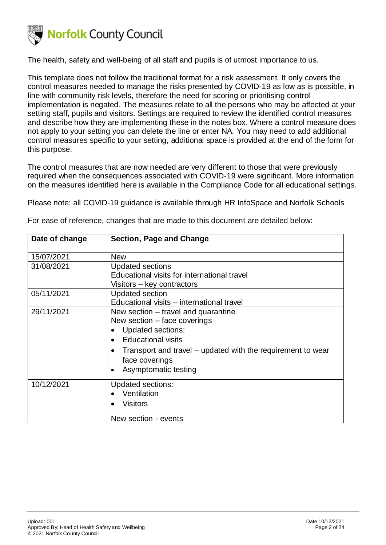

The health, safety and well-being of all staff and pupils is of utmost importance to us.

This template does not follow the traditional format for a risk assessment. It only covers the control measures needed to manage the risks presented by COVID-19 as low as is possible, in line with community risk levels, therefore the need for scoring or prioritising control implementation is negated. The measures relate to all the persons who may be affected at your setting staff, pupils and visitors. Settings are required to review the identified control measures and describe how they are implementing these in the notes box. Where a control measure does not apply to your setting you can delete the line or enter NA. You may need to add additional control measures specific to your setting, additional space is provided at the end of the form for this purpose.

The control measures that are now needed are very different to those that were previously required when the consequences associated with COVID-19 were significant. More information on the measures identified here is available in the Compliance Code for all educational settings.

Please note: all COVID-19 guidance is available through HR InfoSpace and Norfolk Schools

| Date of change | Section, Page and Change                                    |
|----------------|-------------------------------------------------------------|
| 15/07/2021     | <b>New</b>                                                  |
| 31/08/2021     | <b>Updated sections</b>                                     |
|                | Educational visits for international travel                 |
|                | Visitors - key contractors                                  |
| 05/11/2021     | <b>Updated section</b>                                      |
|                | Educational visits – international travel                   |
| 29/11/2021     | New section – travel and quarantine                         |
|                | New section – face coverings                                |
|                | <b>Updated sections:</b>                                    |
|                | <b>Educational visits</b>                                   |
|                | Transport and travel – updated with the requirement to wear |
|                | face coverings                                              |
|                | Asymptomatic testing<br>$\bullet$                           |
| 10/12/2021     | <b>Updated sections:</b>                                    |
|                | Ventilation                                                 |
|                | <b>Visitors</b>                                             |
|                |                                                             |
|                | New section - events                                        |

For ease of reference, changes that are made to this document are detailed below: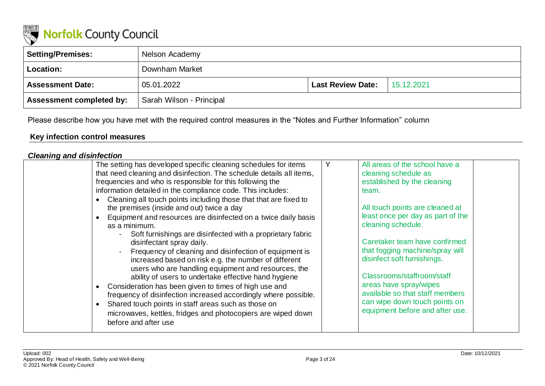

| Setting/Premises:               | Nelson Academy           |                          |            |
|---------------------------------|--------------------------|--------------------------|------------|
| <b>Location:</b>                | Downham Market           |                          |            |
| <b>Assessment Date:</b>         | 05.01.2022               | <b>Last Review Date:</b> | 15.12.2021 |
| <b>Assessment completed by:</b> | Sarah Wilson - Principal |                          |            |

Please describe how you have met with the required control measures in the "Notes and Further Information" column

### **Key infection control measures**

### *Cleaning and disinfection*

<span id="page-2-1"></span><span id="page-2-0"></span>

| The setting has developed specific cleaning schedules for items                                   | All areas of the school have a    |  |
|---------------------------------------------------------------------------------------------------|-----------------------------------|--|
| that need cleaning and disinfection. The schedule details all items,                              | cleaning schedule as              |  |
| frequencies and who is responsible for this following the                                         | established by the cleaning       |  |
| information detailed in the compliance code. This includes:                                       | team.                             |  |
| Cleaning all touch points including those that that are fixed to                                  |                                   |  |
| the premises (inside and out) twice a day                                                         | All touch points are cleaned at   |  |
| Equipment and resources are disinfected on a twice daily basis                                    | least once per day as part of the |  |
| as a minimum.                                                                                     | cleaning schedule.                |  |
| Soft furnishings are disinfected with a proprietary fabric<br>$\sim$<br>disinfectant spray daily. | Caretaker team have confirmed     |  |
| Frequency of cleaning and disinfection of equipment is                                            | that fogging machine/spray will   |  |
| increased based on risk e.g. the number of different                                              | disinfect soft furnishings.       |  |
| users who are handling equipment and resources, the                                               |                                   |  |
| ability of users to undertake effective hand hygiene                                              | Classrooms/staffroom/staff        |  |
| Consideration has been given to times of high use and                                             | areas have spray/wipes            |  |
| frequency of disinfection increased accordingly where possible.                                   | available so that staff members   |  |
| Shared touch points in staff areas such as those on                                               | can wipe down touch points on     |  |
| microwaves, kettles, fridges and photocopiers are wiped down                                      | equipment before and after use.   |  |
| before and after use                                                                              |                                   |  |
|                                                                                                   |                                   |  |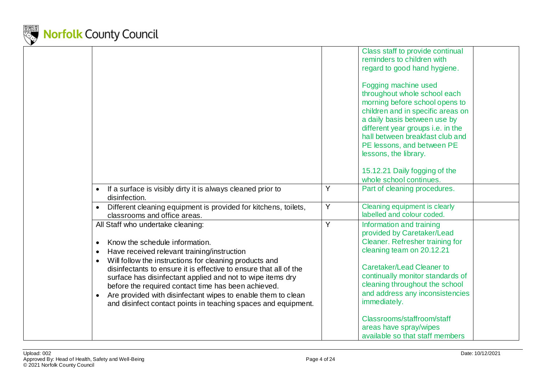

|                                                                                                                                                                                                                                                                                                                                                                                                                                                                                                          |   | Class staff to provide continual<br>reminders to children with<br>regard to good hand hygiene.<br>Fogging machine used<br>throughout whole school each<br>morning before school opens to<br>children and in specific areas on<br>a daily basis between use by<br>different year groups i.e. in the<br>hall between breakfast club and<br>PE lessons, and between PE<br>lessons, the library.<br>15.12.21 Daily fogging of the |
|----------------------------------------------------------------------------------------------------------------------------------------------------------------------------------------------------------------------------------------------------------------------------------------------------------------------------------------------------------------------------------------------------------------------------------------------------------------------------------------------------------|---|-------------------------------------------------------------------------------------------------------------------------------------------------------------------------------------------------------------------------------------------------------------------------------------------------------------------------------------------------------------------------------------------------------------------------------|
| If a surface is visibly dirty it is always cleaned prior to<br>disinfection.                                                                                                                                                                                                                                                                                                                                                                                                                             | Y | whole school continues.<br>Part of cleaning procedures.                                                                                                                                                                                                                                                                                                                                                                       |
| Different cleaning equipment is provided for kitchens, toilets,<br>classrooms and office areas.                                                                                                                                                                                                                                                                                                                                                                                                          | Ÿ | Cleaning equipment is clearly<br>labelled and colour coded.                                                                                                                                                                                                                                                                                                                                                                   |
| All Staff who undertake cleaning:<br>Know the schedule information.<br>Have received relevant training/instruction<br>Will follow the instructions for cleaning products and<br>disinfectants to ensure it is effective to ensure that all of the<br>surface has disinfectant applied and not to wipe items dry<br>before the required contact time has been achieved.<br>Are provided with disinfectant wipes to enable them to clean<br>and disinfect contact points in teaching spaces and equipment. | Ÿ | Information and training<br>provided by Caretaker/Lead<br>Cleaner. Refresher training for<br>cleaning team on 20.12.21<br><b>Caretaker/Lead Cleaner to</b><br>continually monitor standards of<br>cleaning throughout the school<br>and address any inconsistencies<br>immediately.                                                                                                                                           |
|                                                                                                                                                                                                                                                                                                                                                                                                                                                                                                          |   | Classrooms/staffroom/staff<br>areas have spray/wipes<br>available so that staff members                                                                                                                                                                                                                                                                                                                                       |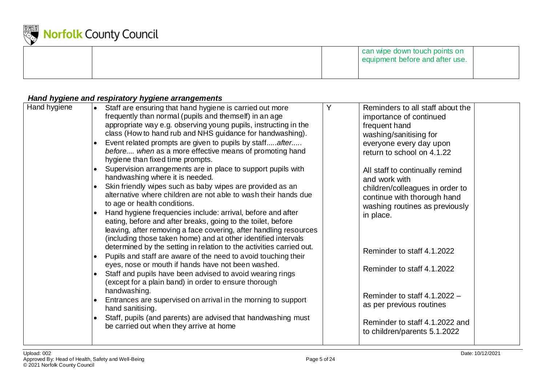

|  | can wipe down touch points on<br>equipment before and after use. |  |
|--|------------------------------------------------------------------|--|
|  |                                                                  |  |

### *Hand hygiene and respiratory hygiene arrangements*

<span id="page-4-0"></span>

| Hand hygiene | Staff are ensuring that hand hygiene is carried out more<br>frequently than normal (pupils and themself) in an age<br>appropriate way e.g. observing young pupils, instructing in the<br>class (How to hand rub and NHS guidance for handwashing).<br>Event related prompts are given to pupils by staffafter<br>before when as a more effective means of promoting hand<br>hygiene than fixed time prompts.<br>Supervision arrangements are in place to support pupils with<br>handwashing where it is needed.<br>Skin friendly wipes such as baby wipes are provided as an<br>alternative where children are not able to wash their hands due<br>to age or health conditions.<br>Hand hygiene frequencies include: arrival, before and after<br>eating, before and after breaks, going to the toilet, before<br>leaving, after removing a face covering, after handling resources<br>(including those taken home) and at other identified intervals<br>determined by the setting in relation to the activities carried out.<br>Pupils and staff are aware of the need to avoid touching their<br>eyes, nose or mouth if hands have not been washed.<br>Staff and pupils have been advised to avoid wearing rings<br>(except for a plain band) in order to ensure thorough | Y | Reminders to all staff about the<br>importance of continued<br>frequent hand<br>washing/sanitising for<br>everyone every day upon<br>return to school on 4.1.22<br>All staff to continually remind<br>and work with<br>children/colleagues in order to<br>continue with thorough hand<br>washing routines as previously<br>in place.<br>Reminder to staff 4.1.2022<br>Reminder to staff 4.1.2022 |  |
|--------------|-----------------------------------------------------------------------------------------------------------------------------------------------------------------------------------------------------------------------------------------------------------------------------------------------------------------------------------------------------------------------------------------------------------------------------------------------------------------------------------------------------------------------------------------------------------------------------------------------------------------------------------------------------------------------------------------------------------------------------------------------------------------------------------------------------------------------------------------------------------------------------------------------------------------------------------------------------------------------------------------------------------------------------------------------------------------------------------------------------------------------------------------------------------------------------------------------------------------------------------------------------------------------------|---|--------------------------------------------------------------------------------------------------------------------------------------------------------------------------------------------------------------------------------------------------------------------------------------------------------------------------------------------------------------------------------------------------|--|
|              | handwashing.<br>Entrances are supervised on arrival in the morning to support<br>hand sanitising.<br>Staff, pupils (and parents) are advised that handwashing must<br>be carried out when they arrive at home                                                                                                                                                                                                                                                                                                                                                                                                                                                                                                                                                                                                                                                                                                                                                                                                                                                                                                                                                                                                                                                               |   | Reminder to staff $4.1.2022 -$<br>as per previous routines<br>Reminder to staff 4.1.2022 and<br>to children/parents 5.1.2022                                                                                                                                                                                                                                                                     |  |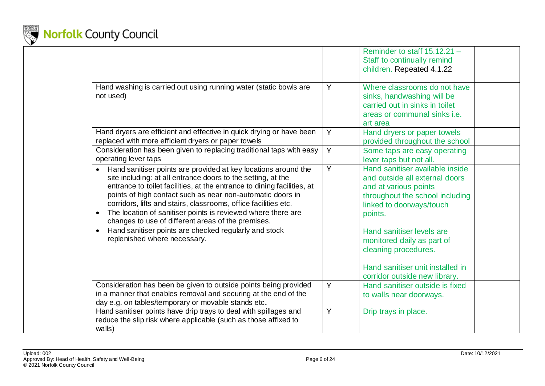

|                                                                                                                                                                                                                                                                                                                                                                                                                                                                                                                                                                                                  |                | Reminder to staff 15.12.21 -<br>Staff to continually remind<br>children. Repeated 4.1.22                                                                                                                                                                                                                                     |
|--------------------------------------------------------------------------------------------------------------------------------------------------------------------------------------------------------------------------------------------------------------------------------------------------------------------------------------------------------------------------------------------------------------------------------------------------------------------------------------------------------------------------------------------------------------------------------------------------|----------------|------------------------------------------------------------------------------------------------------------------------------------------------------------------------------------------------------------------------------------------------------------------------------------------------------------------------------|
| Hand washing is carried out using running water (static bowls are<br>not used)                                                                                                                                                                                                                                                                                                                                                                                                                                                                                                                   | Y              | Where classrooms do not have<br>sinks, handwashing will be<br>carried out in sinks in toilet<br>areas or communal sinks i.e.<br>art area                                                                                                                                                                                     |
| Hand dryers are efficient and effective in quick drying or have been<br>replaced with more efficient dryers or paper towels                                                                                                                                                                                                                                                                                                                                                                                                                                                                      | Y              | Hand dryers or paper towels<br>provided throughout the school                                                                                                                                                                                                                                                                |
| Consideration has been given to replacing traditional taps with easy<br>operating lever taps                                                                                                                                                                                                                                                                                                                                                                                                                                                                                                     | Y              | Some taps are easy operating<br>lever taps but not all.                                                                                                                                                                                                                                                                      |
| Hand sanitiser points are provided at key locations around the<br>$\bullet$<br>site including: at all entrance doors to the setting, at the<br>entrance to toilet facilities, at the entrance to dining facilities, at<br>points of high contact such as near non-automatic doors in<br>corridors, lifts and stairs, classrooms, office facilities etc.<br>The location of sanitiser points is reviewed where there are<br>$\bullet$<br>changes to use of different areas of the premises.<br>Hand sanitiser points are checked regularly and stock<br>$\bullet$<br>replenished where necessary. | $\overline{Y}$ | Hand sanitiser available inside<br>and outside all external doors<br>and at various points<br>throughout the school including<br>linked to doorways/touch<br>points.<br>Hand sanitiser levels are<br>monitored daily as part of<br>cleaning procedures.<br>Hand sanitiser unit installed in<br>corridor outside new library. |
| Consideration has been be given to outside points being provided<br>in a manner that enables removal and securing at the end of the<br>day e.g. on tables/temporary or movable stands etc.                                                                                                                                                                                                                                                                                                                                                                                                       | Y              | Hand sanitiser outside is fixed<br>to walls near doorways.                                                                                                                                                                                                                                                                   |
| Hand sanitiser points have drip trays to deal with spillages and<br>reduce the slip risk where applicable (such as those affixed to<br>walls)                                                                                                                                                                                                                                                                                                                                                                                                                                                    | Y              | Drip trays in place.                                                                                                                                                                                                                                                                                                         |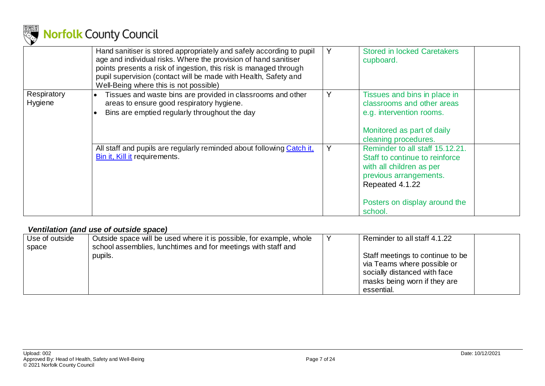

|                        | Hand sanitiser is stored appropriately and safely according to pupil<br>age and individual risks. Where the provision of hand sanitiser<br>points presents a risk of ingestion, this risk is managed through<br>pupil supervision (contact will be made with Health, Safety and<br>Well-Being where this is not possible) | Y | <b>Stored in locked Caretakers</b><br>cupboard.                                                                                                                                        |
|------------------------|---------------------------------------------------------------------------------------------------------------------------------------------------------------------------------------------------------------------------------------------------------------------------------------------------------------------------|---|----------------------------------------------------------------------------------------------------------------------------------------------------------------------------------------|
| Respiratory<br>Hygiene | Tissues and waste bins are provided in classrooms and other<br>areas to ensure good respiratory hygiene.<br>Bins are emptied regularly throughout the day                                                                                                                                                                 | Y | Tissues and bins in place in<br>classrooms and other areas<br>e.g. intervention rooms.<br>Monitored as part of daily<br>cleaning procedures.                                           |
|                        | All staff and pupils are regularly reminded about following Catch it.<br><b>Bin it, Kill it requirements.</b>                                                                                                                                                                                                             | Y | Reminder to all staff 15.12.21.<br>Staff to continue to reinforce<br>with all children as per<br>previous arrangements.<br>Repeated 4.1.22<br>Posters on display around the<br>school. |

### *Ventilation (and use of outside space)*

<span id="page-6-0"></span>

| Use of outside<br>space | Outside space will be used where it is possible, for example, whole<br>school assemblies, lunchtimes and for meetings with staff and | Reminder to all staff 4.1.22                                                                                                                  |
|-------------------------|--------------------------------------------------------------------------------------------------------------------------------------|-----------------------------------------------------------------------------------------------------------------------------------------------|
|                         | pupils.                                                                                                                              | Staff meetings to continue to be<br>via Teams where possible or<br>socially distanced with face<br>masks being worn if they are<br>essential. |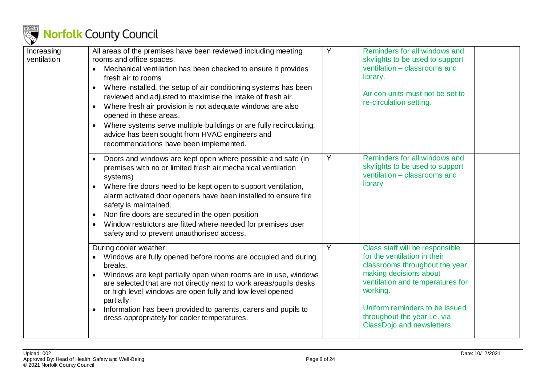

| Increasing<br>ventilation | All areas of the premises have been reviewed including meeting<br>rooms and office spaces.<br>Mechanical ventilation has been checked to ensure it provides<br>fresh air to rooms<br>Where installed, the setup of air conditioning systems has been<br>reviewed and adjusted to maximise the intake of fresh air.<br>Where fresh air provision is not adequate windows are also<br>$\bullet$<br>opened in these areas.<br>Where systems serve multiple buildings or are fully recirculating,<br>$\bullet$<br>advice has been sought from HVAC engineers and<br>recommendations have been implemented. | Y | Reminders for all windows and<br>skylights to be used to support<br>ventilation - classrooms and<br>library.<br>Air con units must not be set to<br>re-circulation setting.                                                                                                  |
|---------------------------|--------------------------------------------------------------------------------------------------------------------------------------------------------------------------------------------------------------------------------------------------------------------------------------------------------------------------------------------------------------------------------------------------------------------------------------------------------------------------------------------------------------------------------------------------------------------------------------------------------|---|------------------------------------------------------------------------------------------------------------------------------------------------------------------------------------------------------------------------------------------------------------------------------|
|                           | Doors and windows are kept open where possible and safe (in<br>premises with no or limited fresh air mechanical ventilation<br>systems)<br>Where fire doors need to be kept open to support ventilation,<br>alarm activated door openers have been installed to ensure fire<br>safety is maintained.<br>Non fire doors are secured in the open position<br>$\bullet$<br>Window restrictors are fitted where needed for premises user<br>$\bullet$<br>safety and to prevent unauthorised access.                                                                                                        | Y | Reminders for all windows and<br>skylights to be used to support<br>ventilation - classrooms and<br>library                                                                                                                                                                  |
|                           | During cooler weather:<br>Windows are fully opened before rooms are occupied and during<br>breaks.<br>Windows are kept partially open when rooms are in use, windows<br>are selected that are not directly next to work areas/pupils desks<br>or high level windows are open fully and low level opened<br>partially<br>Information has been provided to parents, carers and pupils to<br>$\bullet$<br>dress appropriately for cooler temperatures.                                                                                                                                                    | Y | Class staff will be responsible<br>for the ventilation in their<br>classrooms throughout the year,<br>making decisions about<br>ventilation and temperatures for<br>working.<br>Uniform reminders to be issued<br>throughout the year i.e. via<br>ClassDojo and newsletters. |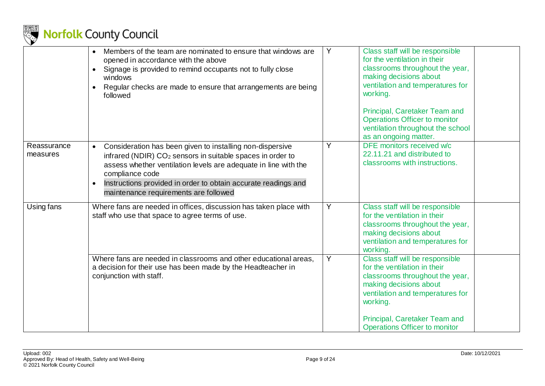

|                         | Members of the team are nominated to ensure that windows are<br>$\bullet$<br>opened in accordance with the above<br>Signage is provided to remind occupants not to fully close<br>windows<br>Regular checks are made to ensure that arrangements are being<br>followed                                                                                         | Y | Class staff will be responsible<br>for the ventilation in their<br>classrooms throughout the year,<br>making decisions about<br>ventilation and temperatures for<br>working.<br>Principal, Caretaker Team and<br><b>Operations Officer to monitor</b><br>ventilation throughout the school |
|-------------------------|----------------------------------------------------------------------------------------------------------------------------------------------------------------------------------------------------------------------------------------------------------------------------------------------------------------------------------------------------------------|---|--------------------------------------------------------------------------------------------------------------------------------------------------------------------------------------------------------------------------------------------------------------------------------------------|
|                         |                                                                                                                                                                                                                                                                                                                                                                |   | as an ongoing matter.                                                                                                                                                                                                                                                                      |
| Reassurance<br>measures | Consideration has been given to installing non-dispersive<br>$\bullet$<br>infrared (NDIR) CO <sub>2</sub> sensors in suitable spaces in order to<br>assess whether ventilation levels are adequate in line with the<br>compliance code<br>Instructions provided in order to obtain accurate readings and<br>$\bullet$<br>maintenance requirements are followed | Y | DFE monitors received w/c<br>22.11.21 and distributed to<br>classrooms with instructions.                                                                                                                                                                                                  |
| Using fans              | Where fans are needed in offices, discussion has taken place with<br>staff who use that space to agree terms of use.                                                                                                                                                                                                                                           | Y | Class staff will be responsible<br>for the ventilation in their<br>classrooms throughout the year,<br>making decisions about<br>ventilation and temperatures for<br>working.                                                                                                               |
|                         | Where fans are needed in classrooms and other educational areas,<br>a decision for their use has been made by the Headteacher in<br>conjunction with staff.                                                                                                                                                                                                    | Y | Class staff will be responsible<br>for the ventilation in their<br>classrooms throughout the year,<br>making decisions about<br>ventilation and temperatures for<br>working.<br>Principal, Caretaker Team and<br><b>Operations Officer to monitor</b>                                      |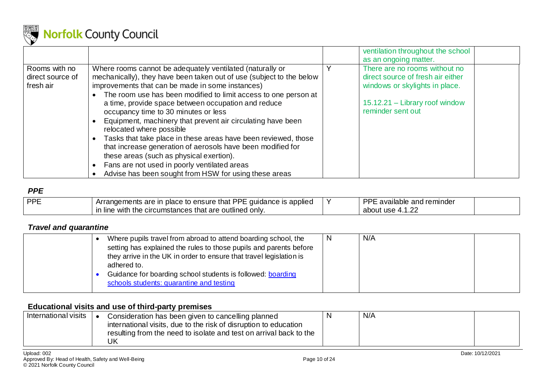

|                  |                                                                      | ventilation throughout the school |
|------------------|----------------------------------------------------------------------|-----------------------------------|
|                  |                                                                      | as an ongoing matter.             |
| Rooms with no    | Where rooms cannot be adequately ventilated (naturally or            | There are no rooms without no     |
| direct source of | mechanically), they have been taken out of use (subject to the below | direct source of fresh air either |
| fresh air        | improvements that can be made in some instances)                     | windows or skylights in place.    |
|                  | The room use has been modified to limit access to one person at      |                                   |
|                  | a time, provide space between occupation and reduce                  | 15.12.21 - Library roof window    |
|                  | occupancy time to 30 minutes or less                                 | reminder sent out                 |
|                  | Equipment, machinery that prevent air circulating have been          |                                   |
|                  | relocated where possible                                             |                                   |
|                  | Tasks that take place in these areas have been reviewed, those       |                                   |
|                  | that increase generation of aerosols have been modified for          |                                   |
|                  | these areas (such as physical exertion).                             |                                   |
|                  | Fans are not used in poorly ventilated areas                         |                                   |
|                  | Advise has been sought from HSW for using these areas                |                                   |

### *PPE*

| PPF | n place to ensure that PPE<br>: quidance is applied<br>Arrangements are      | DDE<br>: available and reminder |  |
|-----|------------------------------------------------------------------------------|---------------------------------|--|
|     | ' only.<br>i the circumstances that are outlined (<br>with<br><b>in line</b> | $\sim$<br>about<br>use<br>.     |  |

### *Travel and quarantine*

|  | Where pupils travel from abroad to attend boarding school, the      | <sub>N</sub> | N/A |  |
|--|---------------------------------------------------------------------|--------------|-----|--|
|  | setting has explained the rules to those pupils and parents before  |              |     |  |
|  | they arrive in the UK in order to ensure that travel legislation is |              |     |  |
|  | adhered to.                                                         |              |     |  |
|  | Guidance for boarding school students is followed: boarding         |              |     |  |
|  | schools students: quarantine and testing                            |              |     |  |
|  |                                                                     |              |     |  |

### **Educational visits and use of third-party premises**

<span id="page-9-2"></span><span id="page-9-1"></span><span id="page-9-0"></span>

| International visits | Consideration has been given to cancelling planned                 | N/A |  |
|----------------------|--------------------------------------------------------------------|-----|--|
|                      | international visits, due to the risk of disruption to education   |     |  |
|                      | resulting from the need to isolate and test on arrival back to the |     |  |
|                      | JK                                                                 |     |  |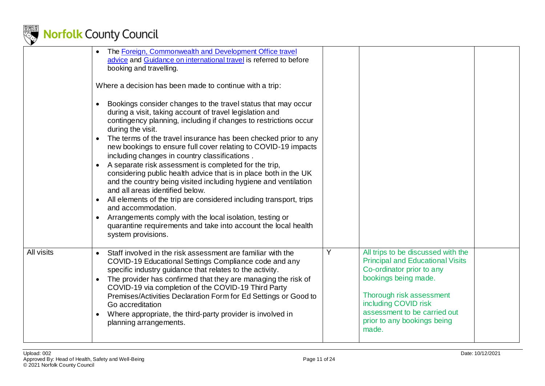

|            | The Foreign, Commonwealth and Development Office travel<br>$\bullet$<br>advice and Guidance on international travel is referred to before<br>booking and travelling.<br>Where a decision has been made to continue with a trip:                                                                                                                                                                                                                                                                                                                                                                                                                                                                                                                                                                                                                                                                                                    |   |                                                                                                                                                                                                                                                                |  |
|------------|------------------------------------------------------------------------------------------------------------------------------------------------------------------------------------------------------------------------------------------------------------------------------------------------------------------------------------------------------------------------------------------------------------------------------------------------------------------------------------------------------------------------------------------------------------------------------------------------------------------------------------------------------------------------------------------------------------------------------------------------------------------------------------------------------------------------------------------------------------------------------------------------------------------------------------|---|----------------------------------------------------------------------------------------------------------------------------------------------------------------------------------------------------------------------------------------------------------------|--|
|            | Bookings consider changes to the travel status that may occur<br>$\bullet$<br>during a visit, taking account of travel legislation and<br>contingency planning, including if changes to restrictions occur<br>during the visit.<br>The terms of the travel insurance has been checked prior to any<br>$\bullet$<br>new bookings to ensure full cover relating to COVID-19 impacts<br>including changes in country classifications.<br>A separate risk assessment is completed for the trip,<br>considering public health advice that is in place both in the UK<br>and the country being visited including hygiene and ventilation<br>and all areas identified below.<br>All elements of the trip are considered including transport, trips<br>and accommodation.<br>Arrangements comply with the local isolation, testing or<br>$\bullet$<br>quarantine requirements and take into account the local health<br>system provisions. |   |                                                                                                                                                                                                                                                                |  |
| All visits | Staff involved in the risk assessment are familiar with the<br>$\bullet$<br>COVID-19 Educational Settings Compliance code and any<br>specific industry guidance that relates to the activity.<br>The provider has confirmed that they are managing the risk of<br>$\bullet$<br>COVID-19 via completion of the COVID-19 Third Party<br>Premises/Activities Declaration Form for Ed Settings or Good to<br>Go accreditation<br>Where appropriate, the third-party provider is involved in<br>$\bullet$<br>planning arrangements.                                                                                                                                                                                                                                                                                                                                                                                                     | Y | All trips to be discussed with the<br><b>Principal and Educational Visits</b><br>Co-ordinator prior to any<br>bookings being made.<br>Thorough risk assessment<br>including COVID risk<br>assessment to be carried out<br>prior to any bookings being<br>made. |  |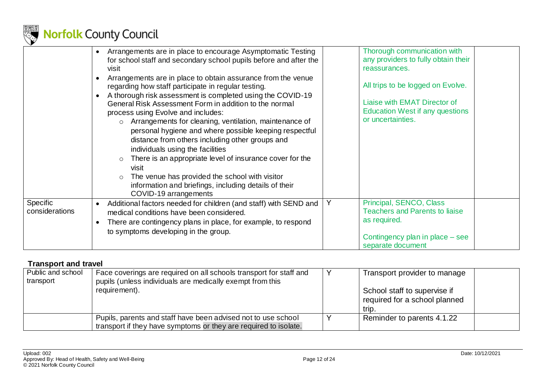

|                                   | Arrangements are in place to encourage Asymptomatic Testing<br>$\bullet$<br>for school staff and secondary school pupils before and after the<br>visit<br>Arrangements are in place to obtain assurance from the venue<br>regarding how staff participate in regular testing.<br>A thorough risk assessment is completed using the COVID-19<br>General Risk Assessment Form in addition to the normal<br>process using Evolve and includes:<br>o Arrangements for cleaning, ventilation, maintenance of<br>personal hygiene and where possible keeping respectful<br>distance from others including other groups and<br>individuals using the facilities<br>There is an appropriate level of insurance cover for the<br>$\circ$<br>visit<br>The venue has provided the school with visitor<br>information and briefings, including details of their<br>COVID-19 arrangements | Thorough communication with<br>any providers to fully obtain their<br>reassurances.<br>All trips to be logged on Evolve.<br>Liaise with EMAT Director of<br><b>Education West if any questions</b><br>or uncertainties. |
|-----------------------------------|------------------------------------------------------------------------------------------------------------------------------------------------------------------------------------------------------------------------------------------------------------------------------------------------------------------------------------------------------------------------------------------------------------------------------------------------------------------------------------------------------------------------------------------------------------------------------------------------------------------------------------------------------------------------------------------------------------------------------------------------------------------------------------------------------------------------------------------------------------------------------|-------------------------------------------------------------------------------------------------------------------------------------------------------------------------------------------------------------------------|
| <b>Specific</b><br>considerations | Additional factors needed for children (and staff) with SEND and<br>$\bullet$<br>medical conditions have been considered.<br>There are contingency plans in place, for example, to respond<br>$\bullet$<br>to symptoms developing in the group.                                                                                                                                                                                                                                                                                                                                                                                                                                                                                                                                                                                                                              | Principal, SENCO, Class<br>Y<br><b>Teachers and Parents to liaise</b><br>as required.<br>Contingency plan in place – see<br>separate document                                                                           |

### **Transport and travel**

<span id="page-11-0"></span>

| Public and school<br>transport | Face coverings are required on all schools transport for staff and<br>pupils (unless individuals are medically exempt from this   | Transport provider to manage                                           |
|--------------------------------|-----------------------------------------------------------------------------------------------------------------------------------|------------------------------------------------------------------------|
|                                | requirement).                                                                                                                     | School staff to supervise if<br>required for a school planned<br>trip. |
|                                | Pupils, parents and staff have been advised not to use school<br>transport if they have symptoms or they are required to isolate. | Reminder to parents 4.1.22                                             |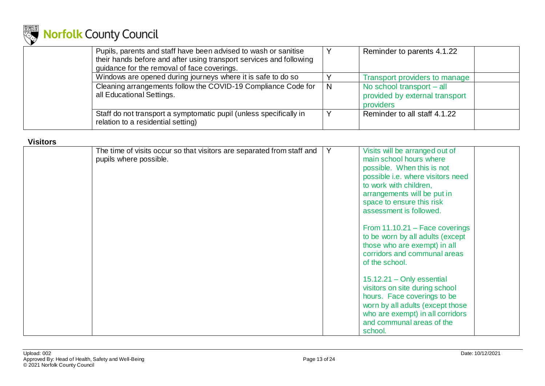

| Pupils, parents and staff have been advised to wash or sanitise<br>their hands before and after using transport services and following<br>guidance for the removal of face coverings. |   | Reminder to parents 4.1.22                                               |
|---------------------------------------------------------------------------------------------------------------------------------------------------------------------------------------|---|--------------------------------------------------------------------------|
| Windows are opened during journeys where it is safe to do so                                                                                                                          |   | Transport providers to manage                                            |
| Cleaning arrangements follow the COVID-19 Compliance Code for<br>all Educational Settings.                                                                                            | N | No school transport - all<br>provided by external transport<br>providers |
| Staff do not transport a symptomatic pupil (unless specifically in<br>relation to a residential setting)                                                                              |   | Reminder to all staff 4.1.22                                             |

### **Visitors**

<span id="page-12-0"></span>

| The time of visits occur so that visitors are separated from staff and<br>pupils where possible. | Y | Visits will be arranged out of<br>main school hours where<br>possible. When this is not<br>possible i.e. where visitors need<br>to work with children,<br>arrangements will be put in<br>space to ensure this risk<br>assessment is followed.<br>From 11.10.21 - Face coverings<br>to be worn by all adults (except<br>those who are exempt) in all<br>corridors and communal areas<br>of the school. |
|--------------------------------------------------------------------------------------------------|---|-------------------------------------------------------------------------------------------------------------------------------------------------------------------------------------------------------------------------------------------------------------------------------------------------------------------------------------------------------------------------------------------------------|
|                                                                                                  |   | $15.12.21 -$ Only essential<br>visitors on site during school<br>hours. Face coverings to be<br>worn by all adults (except those<br>who are exempt) in all corridors<br>and communal areas of the<br>school.                                                                                                                                                                                          |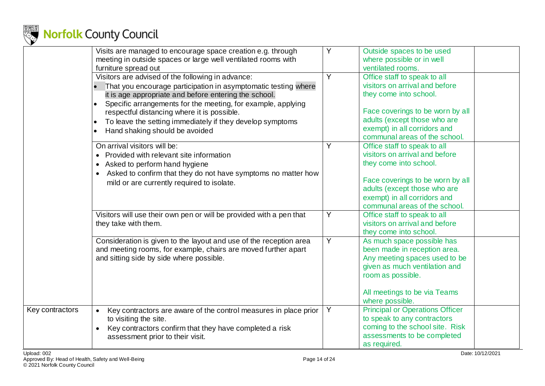

|                 | Visits are managed to encourage space creation e.g. through<br>meeting in outside spaces or large well ventilated rooms with<br>furniture spread out                                                                                                                                                                                                                                                                              | Y | Outside spaces to be used<br>where possible or in well<br>ventilated rooms.                                                                                                                                                   |
|-----------------|-----------------------------------------------------------------------------------------------------------------------------------------------------------------------------------------------------------------------------------------------------------------------------------------------------------------------------------------------------------------------------------------------------------------------------------|---|-------------------------------------------------------------------------------------------------------------------------------------------------------------------------------------------------------------------------------|
|                 | Visitors are advised of the following in advance:<br>That you encourage participation in asymptomatic testing where<br>it is age appropriate and before entering the school.<br>Specific arrangements for the meeting, for example, applying<br>$\bullet$<br>respectful distancing where it is possible.<br>To leave the setting immediately if they develop symptoms<br>$\bullet$<br>Hand shaking should be avoided<br>$\bullet$ | Y | Office staff to speak to all<br>visitors on arrival and before<br>they come into school.<br>Face coverings to be worn by all<br>adults (except those who are<br>exempt) in all corridors and<br>communal areas of the school. |
|                 | On arrival visitors will be:<br>Provided with relevant site information<br>Asked to perform hand hygiene<br>Asked to confirm that they do not have symptoms no matter how<br>$\bullet$<br>mild or are currently required to isolate.                                                                                                                                                                                              | Y | Office staff to speak to all<br>visitors on arrival and before<br>they come into school.<br>Face coverings to be worn by all<br>adults (except those who are<br>exempt) in all corridors and<br>communal areas of the school. |
|                 | Visitors will use their own pen or will be provided with a pen that<br>they take with them.                                                                                                                                                                                                                                                                                                                                       | Y | Office staff to speak to all<br>visitors on arrival and before<br>they come into school.                                                                                                                                      |
|                 | Consideration is given to the layout and use of the reception area<br>and meeting rooms, for example, chairs are moved further apart<br>and sitting side by side where possible.                                                                                                                                                                                                                                                  | Y | As much space possible has<br>been made in reception area.<br>Any meeting spaces used to be<br>given as much ventilation and<br>room as possible.<br>All meetings to be via Teams<br>where possible.                          |
| Key contractors | Key contractors are aware of the control measures in place prior<br>to visiting the site.<br>Key contractors confirm that they have completed a risk<br>assessment prior to their visit.                                                                                                                                                                                                                                          | Y | <b>Principal or Operations Officer</b><br>to speak to any contractors<br>coming to the school site. Risk<br>assessments to be completed<br>as required.                                                                       |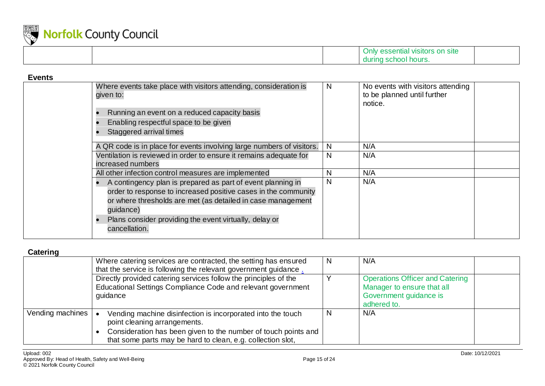

|  | ⊦ Site<br>m<br><b>VISITORS</b><br><b>CODELINAL</b><br>ັ∪⊔⊔⊻<br>. |  |
|--|------------------------------------------------------------------|--|
|  | ' hours.<br>during<br>ow                                         |  |

#### **Events** Where events take place with visitors attending, consideration is given to: • Running an event on a reduced capacity basis • Enabling respectful space to be given • Staggered arrival times N No events with visitors attending to be planned until further notice. A QR code is in place for events involving large numbers of visitors. N N/A Ventilation is reviewed in order to ensure it remains adequate for increased numbers  $N$   $N/A$ All other infection control measures are implemented<br>• A contingency plan is prepared as part of event planning in N N/A • A contingency plan is prepared as part of event planning in order to response to increased positive cases in the community or where thresholds are met (as detailed in case management guidance) • Plans consider providing the event virtually, delay or cancellation.  $N/A$

#### <span id="page-14-0"></span>Catoring

<span id="page-14-1"></span>

| "                |                                                                                                                                                                                                                              |              |                                                                                                               |
|------------------|------------------------------------------------------------------------------------------------------------------------------------------------------------------------------------------------------------------------------|--------------|---------------------------------------------------------------------------------------------------------------|
|                  | Where catering services are contracted, the setting has ensured<br>that the service is following the relevant government guidance.                                                                                           | <sup>N</sup> | N/A                                                                                                           |
|                  | Directly provided catering services follow the principles of the<br>Educational Settings Compliance Code and relevant government<br>guidance                                                                                 |              | <b>Operations Officer and Catering</b><br>Manager to ensure that all<br>Government guidance is<br>adhered to. |
| Vending machines | Vending machine disinfection is incorporated into the touch<br>point cleaning arrangements.<br>Consideration has been given to the number of touch points and<br>that some parts may be hard to clean, e.g. collection slot, | N            | N/A                                                                                                           |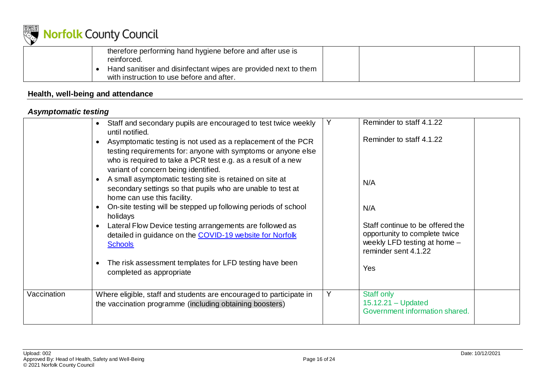

| therefore performing hand hygiene before and after use is<br>reinforced.                                     |  |
|--------------------------------------------------------------------------------------------------------------|--|
| Hand sanitiser and disinfectant wipes are provided next to them<br>with instruction to use before and after. |  |

### **Health, well-being and attendance**

### *Asymptomatic testing*

<span id="page-15-1"></span><span id="page-15-0"></span>

|             | Staff and secondary pupils are encouraged to test twice weekly<br>$\bullet$<br>until notified.<br>Asymptomatic testing is not used as a replacement of the PCR<br>testing requirements for: anyone with symptoms or anyone else<br>who is required to take a PCR test e.g. as a result of a new<br>variant of concern being identified.<br>A small asymptomatic testing site is retained on site at<br>secondary settings so that pupils who are unable to test at<br>home can use this facility.<br>On-site testing will be stepped up following periods of school<br>holidays<br>Lateral Flow Device testing arrangements are followed as<br>detailed in guidance on the COVID-19 website for Norfolk<br><b>Schools</b><br>The risk assessment templates for LFD testing have been<br>completed as appropriate | Y | Reminder to staff 4.1.22<br>Reminder to staff 4.1.22<br>N/A<br>N/A<br>Staff continue to be offered the<br>opportunity to complete twice<br>weekly LFD testing at home -<br>reminder sent 4.1.22<br><b>Yes</b> |  |
|-------------|------------------------------------------------------------------------------------------------------------------------------------------------------------------------------------------------------------------------------------------------------------------------------------------------------------------------------------------------------------------------------------------------------------------------------------------------------------------------------------------------------------------------------------------------------------------------------------------------------------------------------------------------------------------------------------------------------------------------------------------------------------------------------------------------------------------|---|---------------------------------------------------------------------------------------------------------------------------------------------------------------------------------------------------------------|--|
| Vaccination | Where eligible, staff and students are encouraged to participate in<br>the vaccination programme (including obtaining boosters)                                                                                                                                                                                                                                                                                                                                                                                                                                                                                                                                                                                                                                                                                  | Y | <b>Staff only</b><br>$15.12.21 - Updated$<br>Government information shared.                                                                                                                                   |  |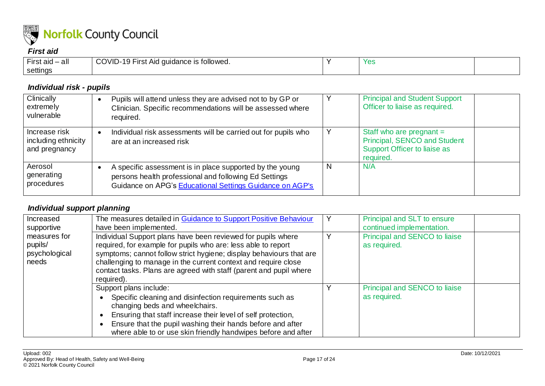

### *First aid*

| -<br>$-$ irst aid $ \alpha$ . | COVID-<br>.<br>: is followed.<br>quidance<br>19 First Aid<br>. . | $V \cap C$<br>ರಾ |  |
|-------------------------------|------------------------------------------------------------------|------------------|--|
| settings                      |                                                                  |                  |  |

### *Individual risk - pupils*

| Clinically<br>extremely<br>vulnerable                 | Pupils will attend unless they are advised not to by GP or<br>Clinician. Specific recommendations will be assessed where<br>required.                                         |   | <b>Principal and Student Support</b><br>Officer to liaise as required.                                  |
|-------------------------------------------------------|-------------------------------------------------------------------------------------------------------------------------------------------------------------------------------|---|---------------------------------------------------------------------------------------------------------|
| Increase risk<br>including ethnicity<br>and pregnancy | Individual risk assessments will be carried out for pupils who<br>are at an increased risk                                                                                    |   | Staff who are pregnant $=$<br>Principal, SENCO and Student<br>Support Officer to liaise as<br>required. |
| Aerosol<br>generating<br>procedures                   | A specific assessment is in place supported by the young<br>persons health professional and following Ed Settings<br>Guidance on APG's Educational Settings Guidance on AGP's | N | N/A                                                                                                     |

### <span id="page-16-0"></span>*Individual support planning*

<span id="page-16-2"></span><span id="page-16-1"></span>

| Increased<br>supportive                           | The measures detailed in Guidance to Support Positive Behaviour<br>have been implemented.                                                                                                                                                                                                                                                                  | Principal and SLT to ensure<br>continued implementation. |
|---------------------------------------------------|------------------------------------------------------------------------------------------------------------------------------------------------------------------------------------------------------------------------------------------------------------------------------------------------------------------------------------------------------------|----------------------------------------------------------|
| measures for<br>pupils/<br>psychological<br>needs | Individual Support plans have been reviewed for pupils where<br>required, for example for pupils who are: less able to report<br>symptoms; cannot follow strict hygiene; display behaviours that are<br>challenging to manage in the current context and require close<br>contact tasks. Plans are agreed with staff (parent and pupil where<br>required). | Principal and SENCO to liaise<br>as required.            |
|                                                   | Support plans include:<br>Specific cleaning and disinfection requirements such as<br>changing beds and wheelchairs.<br>Ensuring that staff increase their level of self protection,<br>Ensure that the pupil washing their hands before and after<br>where able to or use skin friendly handwipes before and after                                         | Principal and SENCO to liaise<br>as required.            |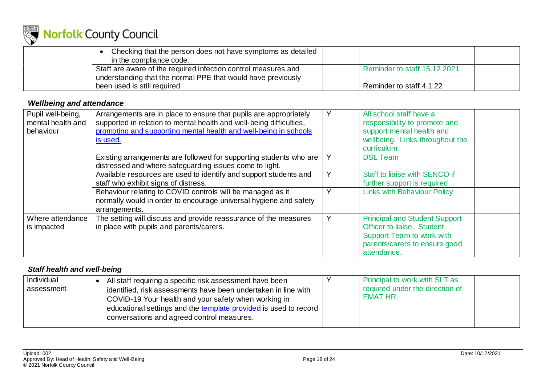

| Checking that the person does not have symptoms as detailed<br>in the compliance code. |                              |  |
|----------------------------------------------------------------------------------------|------------------------------|--|
| Staff are aware of the required infection control measures and                         | Reminder to staff 15.12.2021 |  |
| understanding that the normal PPE that would have previously                           |                              |  |
| been used is still required.                                                           | Reminder to staff 4.1.22     |  |

### *Wellbeing and attendance*

| Pupil well-being,<br>mental health and<br>behaviour | Arrangements are in place to ensure that pupils are appropriately<br>supported in relation to mental health and well-being difficulties,<br>promoting and supporting mental health and well-being in schools<br>is used. | Y | All school staff have a<br>responsibility to promote and<br>support mental health and<br>wellbeing. Links throughout the<br>curriculum.                |
|-----------------------------------------------------|--------------------------------------------------------------------------------------------------------------------------------------------------------------------------------------------------------------------------|---|--------------------------------------------------------------------------------------------------------------------------------------------------------|
|                                                     | Existing arrangements are followed for supporting students who are<br>distressed and where safeguarding issues come to light.                                                                                            |   | <b>DSL Team</b>                                                                                                                                        |
|                                                     | Available resources are used to identify and support students and<br>staff who exhibit signs of distress.                                                                                                                | Υ | Staff to liaise with SENCO if<br>further support is required.                                                                                          |
|                                                     | Behaviour relating to COVID controls will be managed as it<br>normally would in order to encourage universal hygiene and safety<br>arrangements.                                                                         | Υ | <b>Links with Behaviour Policy</b>                                                                                                                     |
| Where attendance<br>is impacted                     | The setting will discuss and provide reassurance of the measures<br>in place with pupils and parents/carers.                                                                                                             | Y | <b>Principal and Student Support</b><br>Officer to liaise. Student<br><b>Support Team to work with</b><br>parents/carers to ensure good<br>attendance. |

### <span id="page-17-0"></span>*Staff health and well-being*

<span id="page-17-1"></span>

| Individual<br>assessment | All staff requiring a specific risk assessment have been<br>identified, risk assessments have been undertaken in line with<br>COVID-19 Your health and your safety when working in<br>educational settings and the template provided is used to record<br>conversations and agreed control measures. |  | Principal to work with SLT as<br>required under the direction of<br>EMAT HR. |  |
|--------------------------|------------------------------------------------------------------------------------------------------------------------------------------------------------------------------------------------------------------------------------------------------------------------------------------------------|--|------------------------------------------------------------------------------|--|
|--------------------------|------------------------------------------------------------------------------------------------------------------------------------------------------------------------------------------------------------------------------------------------------------------------------------------------------|--|------------------------------------------------------------------------------|--|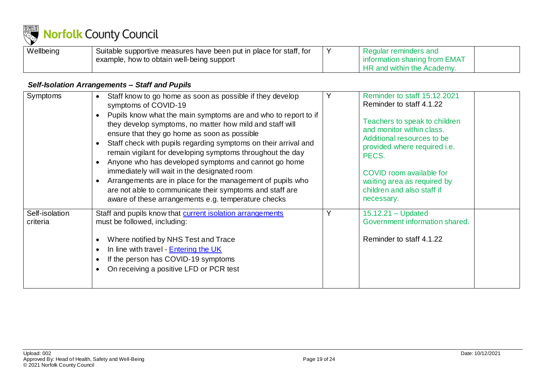

| Wellbeing | Suitable supportive measures have been put in place for staff, for | Regular reminders and         |  |
|-----------|--------------------------------------------------------------------|-------------------------------|--|
|           | example, how to obtain well-being support                          | information sharing from EMAT |  |
|           |                                                                    | HR and within the Academy.    |  |

### *Self-Isolation Arrangements – Staff and Pupils*

<span id="page-18-0"></span>

| Symptoms                   | Staff know to go home as soon as possible if they develop<br>symptoms of COVID-19<br>Pupils know what the main symptoms are and who to report to if<br>they develop symptoms, no matter how mild and staff will<br>ensure that they go home as soon as possible<br>Staff check with pupils regarding symptoms on their arrival and<br>remain vigilant for developing symptoms throughout the day<br>Anyone who has developed symptoms and cannot go home<br>immediately will wait in the designated room<br>Arrangements are in place for the management of pupils who<br>are not able to communicate their symptoms and staff are<br>aware of these arrangements e.g. temperature checks | Reminder to staff 15.12.2021<br>Reminder to staff 4.1.22<br>Teachers to speak to children<br>and monitor within class.<br>Additional resources to be<br>provided where required i.e.<br>PECS.<br>COVID room available for<br>waiting area as required by<br>children and also staff if<br>necessary. |
|----------------------------|-------------------------------------------------------------------------------------------------------------------------------------------------------------------------------------------------------------------------------------------------------------------------------------------------------------------------------------------------------------------------------------------------------------------------------------------------------------------------------------------------------------------------------------------------------------------------------------------------------------------------------------------------------------------------------------------|------------------------------------------------------------------------------------------------------------------------------------------------------------------------------------------------------------------------------------------------------------------------------------------------------|
| Self-isolation<br>criteria | Staff and pupils know that current isolation arrangements<br>must be followed, including:<br>Where notified by NHS Test and Trace<br>In line with travel - <b>Entering the UK</b><br>If the person has COVID-19 symptoms<br>On receiving a positive LFD or PCR test                                                                                                                                                                                                                                                                                                                                                                                                                       | $15.12.21 - Updated$<br>Government information shared.<br>Reminder to staff 4.1.22                                                                                                                                                                                                                   |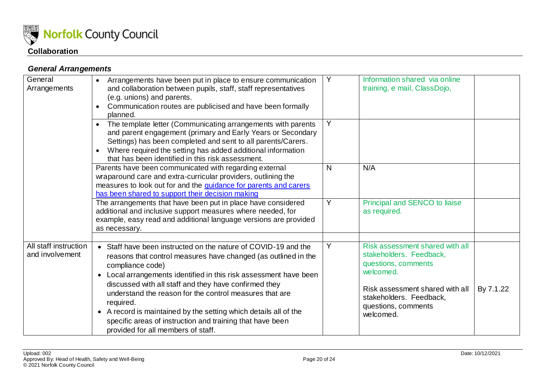

### *General Arrangements*

<span id="page-19-1"></span><span id="page-19-0"></span>

| General<br>Arrangements                  | Arrangements have been put in place to ensure communication<br>$\bullet$<br>and collaboration between pupils, staff, staff representatives<br>(e.g. unions) and parents.<br>Communication routes are publicised and have been formally<br>$\bullet$<br>planned.                                                                                                                                                                                                                                                                            | Y | Information shared via online<br>training, e mail, ClassDojo,                                                                                                                                    |           |
|------------------------------------------|--------------------------------------------------------------------------------------------------------------------------------------------------------------------------------------------------------------------------------------------------------------------------------------------------------------------------------------------------------------------------------------------------------------------------------------------------------------------------------------------------------------------------------------------|---|--------------------------------------------------------------------------------------------------------------------------------------------------------------------------------------------------|-----------|
|                                          | The template letter (Communicating arrangements with parents<br>and parent engagement (primary and Early Years or Secondary<br>Settings) has been completed and sent to all parents/Carers.<br>Where required the setting has added additional information<br>$\bullet$<br>that has been identified in this risk assessment.                                                                                                                                                                                                               | Y |                                                                                                                                                                                                  |           |
|                                          | Parents have been communicated with regarding external<br>wraparound care and extra-curricular providers, outlining the<br>measures to look out for and the guidance for parents and carers<br>has been shared to support their decision making                                                                                                                                                                                                                                                                                            | N | N/A                                                                                                                                                                                              |           |
|                                          | The arrangements that have been put in place have considered<br>additional and inclusive support measures where needed, for<br>example, easy read and additional language versions are provided<br>as necessary.                                                                                                                                                                                                                                                                                                                           | Y | Principal and SENCO to liaise<br>as required.                                                                                                                                                    |           |
| All staff instruction<br>and involvement | Staff have been instructed on the nature of COVID-19 and the<br>reasons that control measures have changed (as outlined in the<br>compliance code)<br>Local arrangements identified in this risk assessment have been<br>$\bullet$<br>discussed with all staff and they have confirmed they<br>understand the reason for the control measures that are<br>required.<br>• A record is maintained by the setting which details all of the<br>specific areas of instruction and training that have been<br>provided for all members of staff. | Y | Risk assessment shared with all<br>stakeholders. Feedback,<br>questions, comments<br>welcomed.<br>Risk assessment shared with all<br>stakeholders. Feedback,<br>questions, comments<br>welcomed. | By 7.1.22 |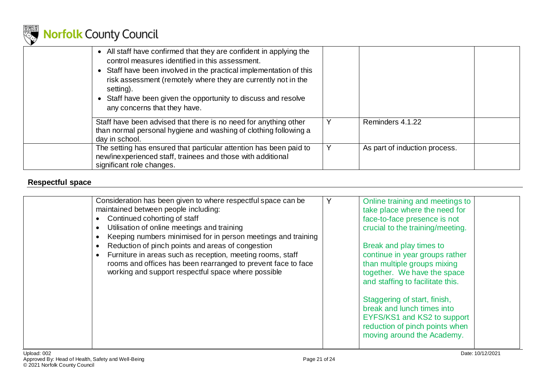

| • All staff have confirmed that they are confident in applying the<br>control measures identified in this assessment.<br>• Staff have been involved in the practical implementation of this<br>risk assessment (remotely where they are currently not in the<br>setting).<br>Staff have been given the opportunity to discuss and resolve<br>$\bullet$<br>any concerns that they have. |                               |  |
|----------------------------------------------------------------------------------------------------------------------------------------------------------------------------------------------------------------------------------------------------------------------------------------------------------------------------------------------------------------------------------------|-------------------------------|--|
| Staff have been advised that there is no need for anything other<br>than normal personal hygiene and washing of clothing following a<br>day in school.                                                                                                                                                                                                                                 | Reminders 4.1.22              |  |
| The setting has ensured that particular attention has been paid to<br>new/inexperienced staff, trainees and those with additional<br>significant role changes.                                                                                                                                                                                                                         | As part of induction process. |  |

### **Respectful space**

<span id="page-20-0"></span>

| Consideration has been given to where respectful space can be<br>maintained between people including:<br>Continued cohorting of staff<br>Utilisation of online meetings and training<br>Keeping numbers minimised for in person meetings and training<br>Reduction of pinch points and areas of congestion<br>Furniture in areas such as reception, meeting rooms, staff<br>rooms and offices has been rearranged to prevent face to face<br>working and support respectful space where possible |  | Online training and meetings to<br>take place where the need for<br>face-to-face presence is not<br>crucial to the training/meeting.<br>Break and play times to<br>continue in year groups rather<br>than multiple groups mixing<br>together. We have the space<br>and staffing to facilitate this.<br>Staggering of start, finish,<br>break and lunch times into<br>EYFS/KS1 and KS2 to support<br>reduction of pinch points when<br>moving around the Academy. |  |
|--------------------------------------------------------------------------------------------------------------------------------------------------------------------------------------------------------------------------------------------------------------------------------------------------------------------------------------------------------------------------------------------------------------------------------------------------------------------------------------------------|--|------------------------------------------------------------------------------------------------------------------------------------------------------------------------------------------------------------------------------------------------------------------------------------------------------------------------------------------------------------------------------------------------------------------------------------------------------------------|--|
|--------------------------------------------------------------------------------------------------------------------------------------------------------------------------------------------------------------------------------------------------------------------------------------------------------------------------------------------------------------------------------------------------------------------------------------------------------------------------------------------------|--|------------------------------------------------------------------------------------------------------------------------------------------------------------------------------------------------------------------------------------------------------------------------------------------------------------------------------------------------------------------------------------------------------------------------------------------------------------------|--|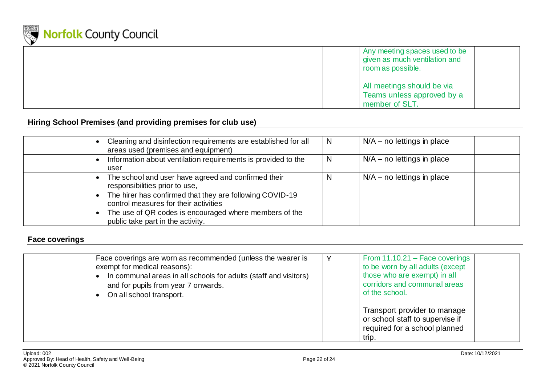

|  | Any meeting spaces used to be<br>given as much ventilation and<br>room as possible. |
|--|-------------------------------------------------------------------------------------|
|  | All meetings should be via<br>Teams unless approved by a<br>member of SLT.          |

### **Hiring School Premises (and providing premises for club use)**

| Cleaning and disinfection requirements are established for all<br>areas used (premises and equipment)                                                                                                                                                                                     | N | $N/A$ – no lettings in place |
|-------------------------------------------------------------------------------------------------------------------------------------------------------------------------------------------------------------------------------------------------------------------------------------------|---|------------------------------|
| Information about ventilation requirements is provided to the<br>user                                                                                                                                                                                                                     | N | $N/A$ – no lettings in place |
| The school and user have agreed and confirmed their<br>responsibilities prior to use,<br>The hirer has confirmed that they are following COVID-19<br>control measures for their activities<br>The use of QR codes is encouraged where members of the<br>public take part in the activity. |   | $N/A$ – no lettings in place |

### **Face coverings**

<span id="page-21-1"></span><span id="page-21-0"></span>

| Face coverings are worn as recommended (unless the wearer is<br>exempt for medical reasons):<br>In communal areas in all schools for adults (staff and visitors)<br>and for pupils from year 7 onwards.<br>On all school transport. | v | From $11.10.21$ – Face coverings<br>to be worn by all adults (except<br>those who are exempt) in all<br>corridors and communal areas<br>of the school. |
|-------------------------------------------------------------------------------------------------------------------------------------------------------------------------------------------------------------------------------------|---|--------------------------------------------------------------------------------------------------------------------------------------------------------|
|                                                                                                                                                                                                                                     |   | Transport provider to manage<br>or school staff to supervise if<br>required for a school planned<br>trip.                                              |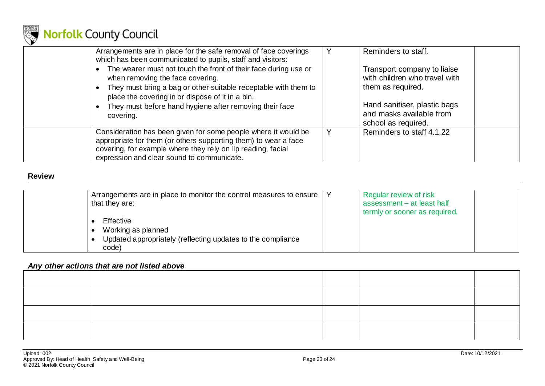

| Arrangements are in place for the safe removal of face coverings<br>which has been communicated to pupils, staff and visitors:<br>The wearer must not touch the front of their face during use or<br>when removing the face covering.<br>They must bring a bag or other suitable receptable with them to<br>place the covering in or dispose of it in a bin.<br>They must before hand hygiene after removing their face<br>covering. |   | Reminders to staff.<br>Transport company to liaise<br>with children who travel with<br>them as required.<br>Hand sanitiser, plastic bags<br>and masks available from<br>school as required. |
|--------------------------------------------------------------------------------------------------------------------------------------------------------------------------------------------------------------------------------------------------------------------------------------------------------------------------------------------------------------------------------------------------------------------------------------|---|---------------------------------------------------------------------------------------------------------------------------------------------------------------------------------------------|
| Consideration has been given for some people where it would be<br>appropriate for them (or others supporting them) to wear a face<br>covering, for example where they rely on lip reading, facial<br>expression and clear sound to communicate.                                                                                                                                                                                      | Y | Reminders to staff 4.1.22                                                                                                                                                                   |

#### **Review**

| Arrangements are in place to monitor the control measures to ensure<br>that they are:                   | Regular review of risk<br>assessment - at least half<br>termly or sooner as required. |  |
|---------------------------------------------------------------------------------------------------------|---------------------------------------------------------------------------------------|--|
| Effective<br>Working as planned<br>Updated appropriately (reflecting updates to the compliance<br>code) |                                                                                       |  |

### *Any other actions that are not listed above*

<span id="page-22-0"></span>